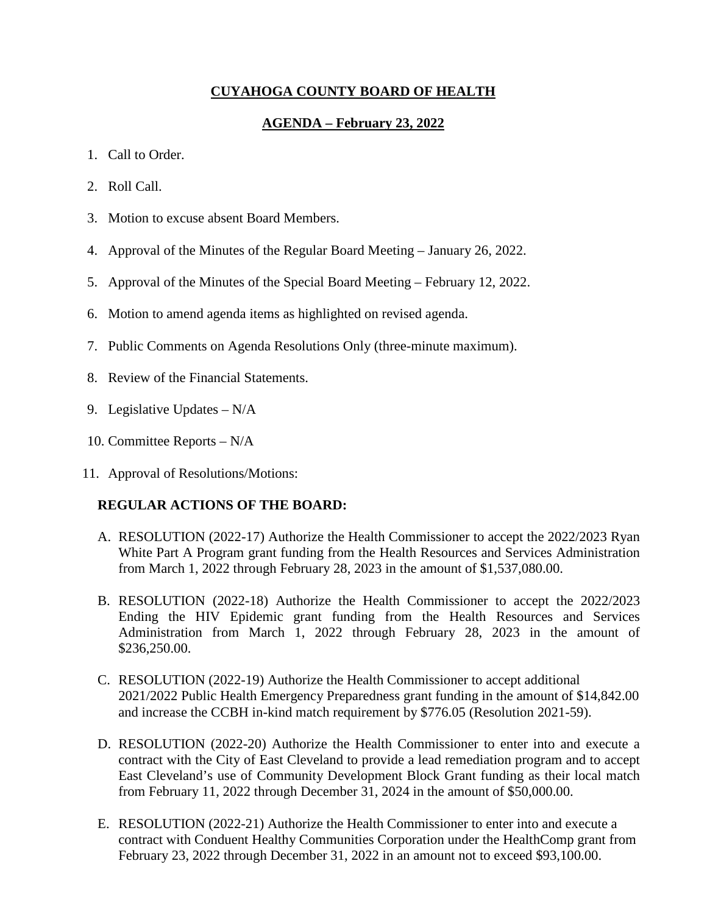## **CUYAHOGA COUNTY BOARD OF HEALTH**

## **AGENDA – February 23, 2022**

- 1. Call to Order.
- 2. Roll Call.
- 3. Motion to excuse absent Board Members.
- 4. Approval of the Minutes of the Regular Board Meeting January 26, 2022.
- 5. Approval of the Minutes of the Special Board Meeting February 12, 2022.
- 6. Motion to amend agenda items as highlighted on revised agenda.
- 7. Public Comments on Agenda Resolutions Only (three-minute maximum).
- 8. Review of the Financial Statements.
- 9. Legislative Updates N/A
- 10. Committee Reports N/A
- 11. Approval of Resolutions/Motions:

#### **REGULAR ACTIONS OF THE BOARD:**

- A. RESOLUTION (2022-17) Authorize the Health Commissioner to accept the 2022/2023 Ryan White Part A Program grant funding from the Health Resources and Services Administration from March 1, 2022 through February 28, 2023 in the amount of \$1,537,080.00.
- B. RESOLUTION (2022-18) Authorize the Health Commissioner to accept the 2022/2023 Ending the HIV Epidemic grant funding from the Health Resources and Services Administration from March 1, 2022 through February 28, 2023 in the amount of \$236,250.00.
- C. RESOLUTION (2022-19) Authorize the Health Commissioner to accept additional 2021/2022 Public Health Emergency Preparedness grant funding in the amount of \$14,842.00 and increase the CCBH in-kind match requirement by \$776.05 (Resolution 2021-59).
- D. RESOLUTION (2022-20) Authorize the Health Commissioner to enter into and execute a contract with the City of East Cleveland to provide a lead remediation program and to accept East Cleveland's use of Community Development Block Grant funding as their local match from February 11, 2022 through December 31, 2024 in the amount of \$50,000.00.
- E. RESOLUTION (2022-21) Authorize the Health Commissioner to enter into and execute a contract with Conduent Healthy Communities Corporation under the HealthComp grant from February 23, 2022 through December 31, 2022 in an amount not to exceed \$93,100.00.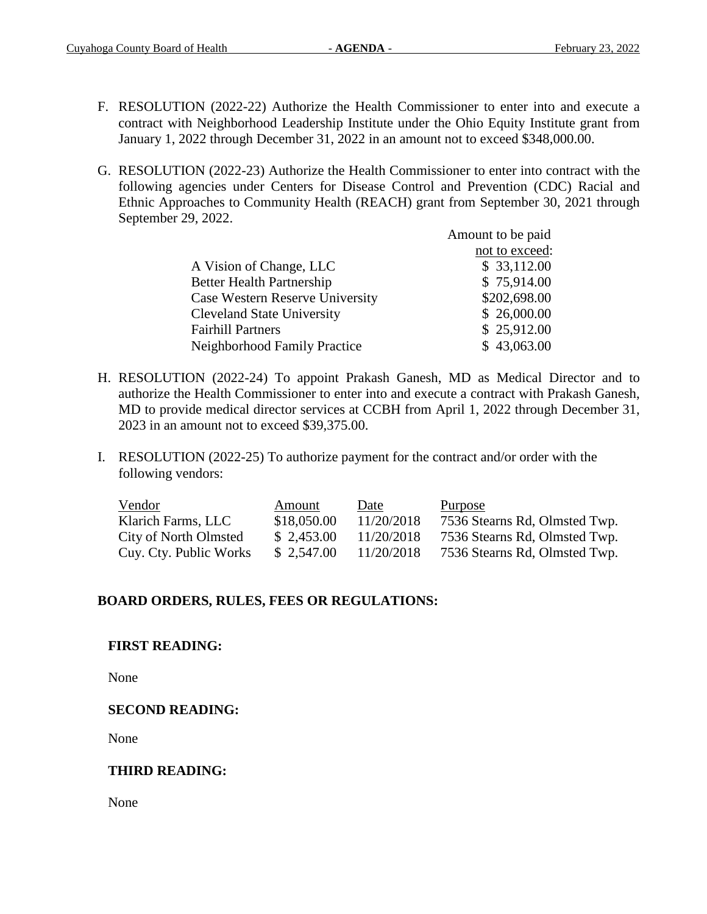- F. RESOLUTION (2022-22) Authorize the Health Commissioner to enter into and execute a contract with Neighborhood Leadership Institute under the Ohio Equity Institute grant from January 1, 2022 through December 31, 2022 in an amount not to exceed \$348,000.00.
- G. RESOLUTION (2022-23) Authorize the Health Commissioner to enter into contract with the following agencies under Centers for Disease Control and Prevention (CDC) Racial and Ethnic Approaches to Community Health (REACH) grant from September 30, 2021 through September 29, 2022.

|                                   | Amount to be paid |
|-----------------------------------|-------------------|
|                                   | not to exceed:    |
| A Vision of Change, LLC           | \$33,112.00       |
| <b>Better Health Partnership</b>  | \$75,914.00       |
| Case Western Reserve University   | \$202,698.00      |
| <b>Cleveland State University</b> | \$26,000.00       |
| <b>Fairhill Partners</b>          | \$25,912.00       |
| Neighborhood Family Practice      | \$43,063.00       |

- H. RESOLUTION (2022-24) To appoint Prakash Ganesh, MD as Medical Director and to authorize the Health Commissioner to enter into and execute a contract with Prakash Ganesh, MD to provide medical director services at CCBH from April 1, 2022 through December 31, 2023 in an amount not to exceed \$39,375.00.
- I. RESOLUTION (2022-25) To authorize payment for the contract and/or order with the following vendors:

| Vendor                 | Amount      | Date       | <b>Purpose</b>                |
|------------------------|-------------|------------|-------------------------------|
| Klarich Farms, LLC     | \$18,050.00 | 11/20/2018 | 7536 Stearns Rd, Olmsted Twp. |
| City of North Olmsted  | \$2,453.00  | 11/20/2018 | 7536 Stearns Rd, Olmsted Twp. |
| Cuy. Cty. Public Works | \$2,547.00  | 11/20/2018 | 7536 Stearns Rd, Olmsted Twp. |

## **BOARD ORDERS, RULES, FEES OR REGULATIONS:**

## **FIRST READING:**

None

### **SECOND READING:**

None

## **THIRD READING:**

None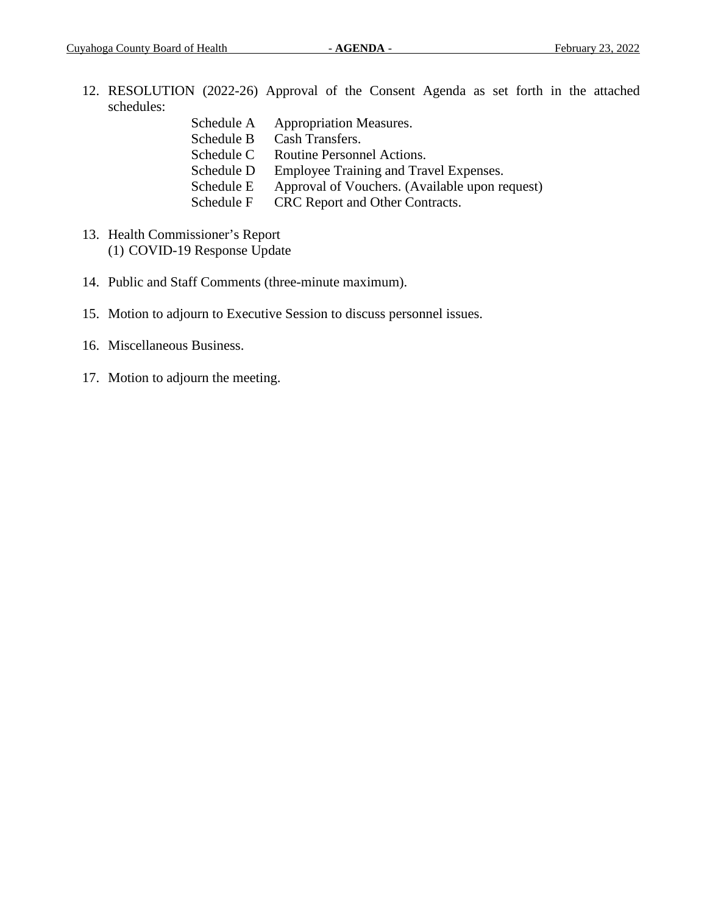- 12. RESOLUTION (2022-26) Approval of the Consent Agenda as set forth in the attached schedules:
	- Schedule A Appropriation Measures. Schedule B Cash Transfers. Schedule C Routine Personnel Actions. Schedule D Employee Training and Travel Expenses. Schedule E Approval of Vouchers. (Available upon request) Schedule F CRC Report and Other Contracts.
- 13. Health Commissioner's Report (1) COVID-19 Response Update
- 14. Public and Staff Comments (three-minute maximum).
- 15. Motion to adjourn to Executive Session to discuss personnel issues.
- 16. Miscellaneous Business.
- 17. Motion to adjourn the meeting.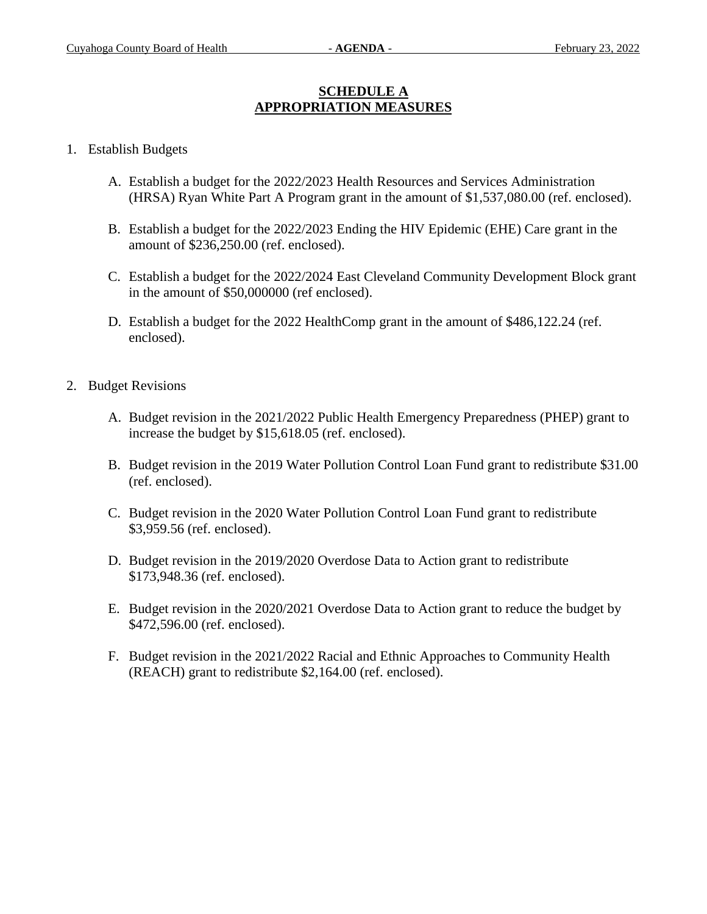## **SCHEDULE A APPROPRIATION MEASURES**

### 1. Establish Budgets

- A. Establish a budget for the 2022/2023 Health Resources and Services Administration (HRSA) Ryan White Part A Program grant in the amount of \$1,537,080.00 (ref. enclosed).
- B. Establish a budget for the 2022/2023 Ending the HIV Epidemic (EHE) Care grant in the amount of \$236,250.00 (ref. enclosed).
- C. Establish a budget for the 2022/2024 East Cleveland Community Development Block grant in the amount of \$50,000000 (ref enclosed).
- D. Establish a budget for the 2022 HealthComp grant in the amount of \$486,122.24 (ref. enclosed).
- 2. Budget Revisions
	- A. Budget revision in the 2021/2022 Public Health Emergency Preparedness (PHEP) grant to increase the budget by \$15,618.05 (ref. enclosed).
	- B. Budget revision in the 2019 Water Pollution Control Loan Fund grant to redistribute \$31.00 (ref. enclosed).
	- C. Budget revision in the 2020 Water Pollution Control Loan Fund grant to redistribute \$3,959.56 (ref. enclosed).
	- D. Budget revision in the 2019/2020 Overdose Data to Action grant to redistribute \$173,948.36 (ref. enclosed).
	- E. Budget revision in the 2020/2021 Overdose Data to Action grant to reduce the budget by \$472,596.00 (ref. enclosed).
	- F. Budget revision in the 2021/2022 Racial and Ethnic Approaches to Community Health (REACH) grant to redistribute \$2,164.00 (ref. enclosed).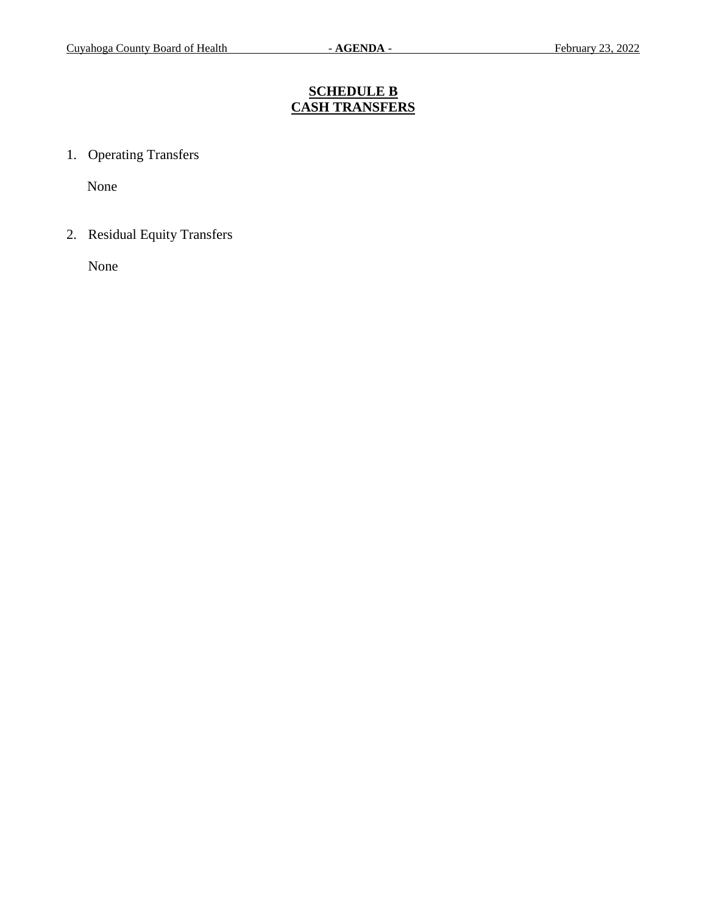# **SCHEDULE B CASH TRANSFERS**

1. Operating Transfers

None

2. Residual Equity Transfers

None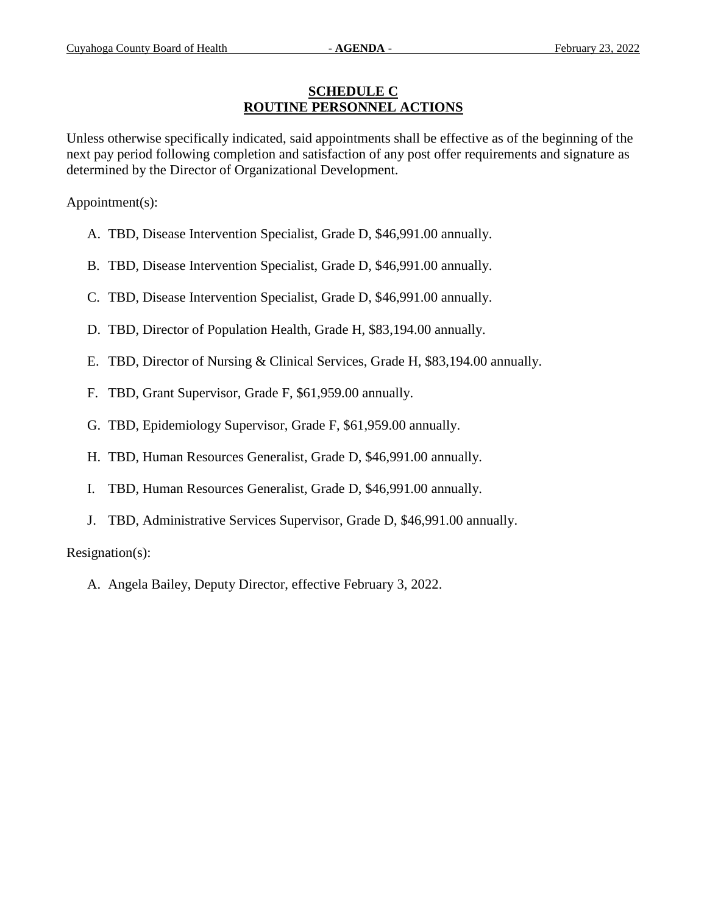## **SCHEDULE C ROUTINE PERSONNEL ACTIONS**

Unless otherwise specifically indicated, said appointments shall be effective as of the beginning of the next pay period following completion and satisfaction of any post offer requirements and signature as determined by the Director of Organizational Development.

Appointment(s):

- A. TBD, Disease Intervention Specialist, Grade D, \$46,991.00 annually.
- B. TBD, Disease Intervention Specialist, Grade D, \$46,991.00 annually.
- C. TBD, Disease Intervention Specialist, Grade D, \$46,991.00 annually.
- D. TBD, Director of Population Health, Grade H, \$83,194.00 annually.
- E. TBD, Director of Nursing & Clinical Services, Grade H, \$83,194.00 annually.
- F. TBD, Grant Supervisor, Grade F, \$61,959.00 annually.
- G. TBD, Epidemiology Supervisor, Grade F, \$61,959.00 annually.
- H. TBD, Human Resources Generalist, Grade D, \$46,991.00 annually.
- I. TBD, Human Resources Generalist, Grade D, \$46,991.00 annually.
- J. TBD, Administrative Services Supervisor, Grade D, \$46,991.00 annually.

Resignation(s):

A. Angela Bailey, Deputy Director, effective February 3, 2022.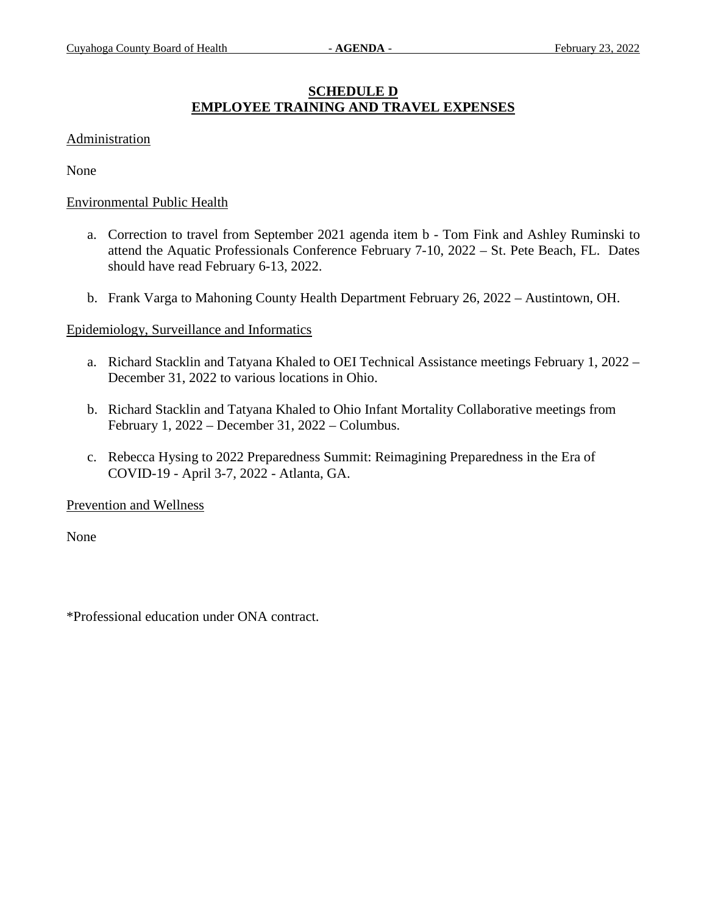## **SCHEDULE D EMPLOYEE TRAINING AND TRAVEL EXPENSES**

### Administration

None

#### Environmental Public Health

- a. Correction to travel from September 2021 agenda item b Tom Fink and Ashley Ruminski to attend the Aquatic Professionals Conference February 7-10, 2022 – St. Pete Beach, FL. Dates should have read February 6-13, 2022.
- b. Frank Varga to Mahoning County Health Department February 26, 2022 Austintown, OH.

### Epidemiology, Surveillance and Informatics

- a. Richard Stacklin and Tatyana Khaled to OEI Technical Assistance meetings February 1, 2022 December 31, 2022 to various locations in Ohio.
- b. Richard Stacklin and Tatyana Khaled to Ohio Infant Mortality Collaborative meetings from February 1, 2022 – December 31, 2022 – Columbus.
- c. Rebecca Hysing to 2022 Preparedness Summit: Reimagining Preparedness in the Era of COVID-19 - April 3-7, 2022 - Atlanta, GA.

Prevention and Wellness

None

\*Professional education under ONA contract.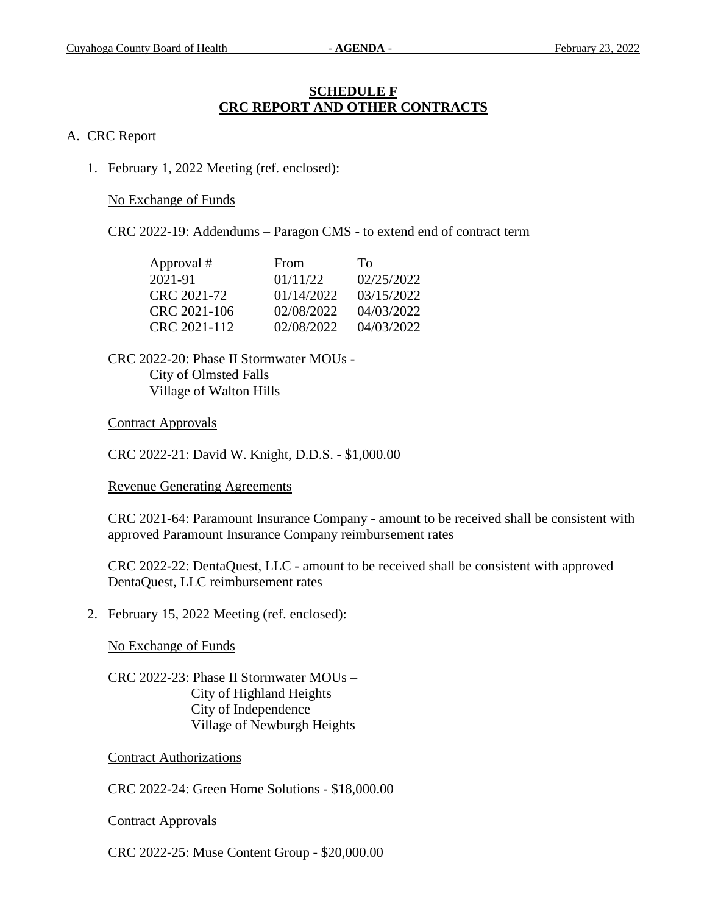## **SCHEDULE F CRC REPORT AND OTHER CONTRACTS**

### A. CRC Report

1. February 1, 2022 Meeting (ref. enclosed):

No Exchange of Funds

CRC 2022-19: Addendums – Paragon CMS - to extend end of contract term

| Approval #   | From       | Tο         |
|--------------|------------|------------|
| 2021-91      | 01/11/22   | 02/25/2022 |
| CRC 2021-72  | 01/14/2022 | 03/15/2022 |
| CRC 2021-106 | 02/08/2022 | 04/03/2022 |
| CRC 2021-112 | 02/08/2022 | 04/03/2022 |

CRC 2022-20: Phase II Stormwater MOUs - City of Olmsted Falls Village of Walton Hills

### Contract Approvals

CRC 2022-21: David W. Knight, D.D.S. - \$1,000.00

### Revenue Generating Agreements

CRC 2021-64: Paramount Insurance Company - amount to be received shall be consistent with approved Paramount Insurance Company reimbursement rates

CRC 2022-22: DentaQuest, LLC - amount to be received shall be consistent with approved DentaQuest, LLC reimbursement rates

2. February 15, 2022 Meeting (ref. enclosed):

No Exchange of Funds

CRC 2022-23: Phase II Stormwater MOUs – City of Highland Heights City of Independence Village of Newburgh Heights

Contract Authorizations

CRC 2022-24: Green Home Solutions - \$18,000.00

Contract Approvals

CRC 2022-25: Muse Content Group - \$20,000.00